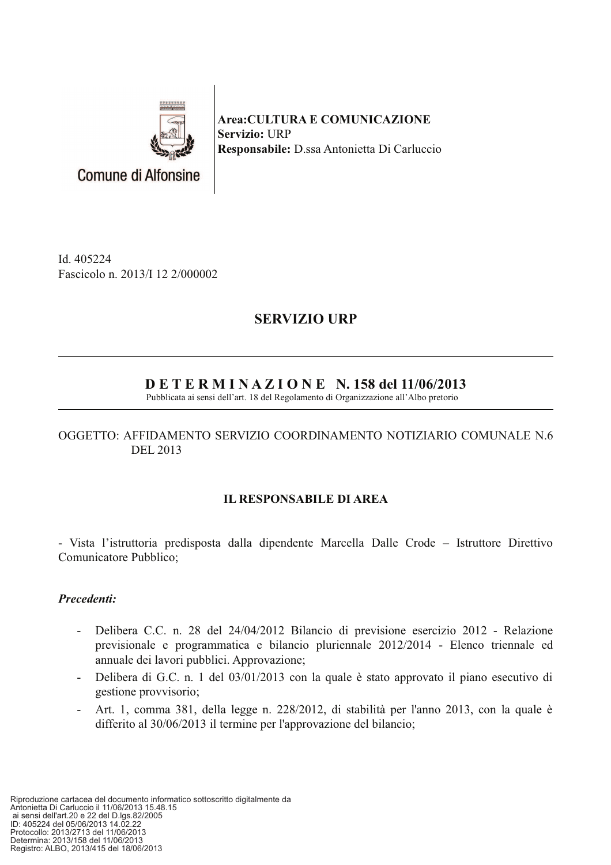

**Area:CULTURA E COMUNICAZIONE** Servizio: URP Responsabile: D.ssa Antonietta Di Carluccio

Id. 405224 Fascicolo n. 2013/I 12 2/000002

# **SERVIZIO URP**

# $D E T E R M I N A Z I O N E N. 158$  del 11/06/2013

Pubblicata ai sensi dell'art. 18 del Regolamento di Organizzazione all'Albo pretorio

## OGGETTO: AFFIDAMENTO SERVIZIO COORDINAMENTO NOTIZIARIO COMUNALE N.6 DEL 2013

## **IL RESPONSABILE DI AREA**

- Vista l'istruttoria predisposta dalla dipendente Marcella Dalle Crode – Istruttore Direttivo Comunicatore Pubblico;

## Precedenti:

- Delibera C.C. n. 28 del 24/04/2012 Bilancio di previsione esercizio 2012 Relazione  $\sim$ previsionale e programmatica e bilancio pluriennale 2012/2014 - Elenco triennale ed annuale dei lavori pubblici. Approvazione;
- Delibera di G.C. n. 1 del 03/01/2013 con la quale è stato approvato il piano esecutivo di  $\omega_{\rm{max}}$ gestione provvisorio:
- Art. 1, comma 381, della legge n. 228/2012, di stabilità per l'anno 2013, con la quale è  $\sim 100$ differito al 30/06/2013 il termine per l'approvazione del bilancio;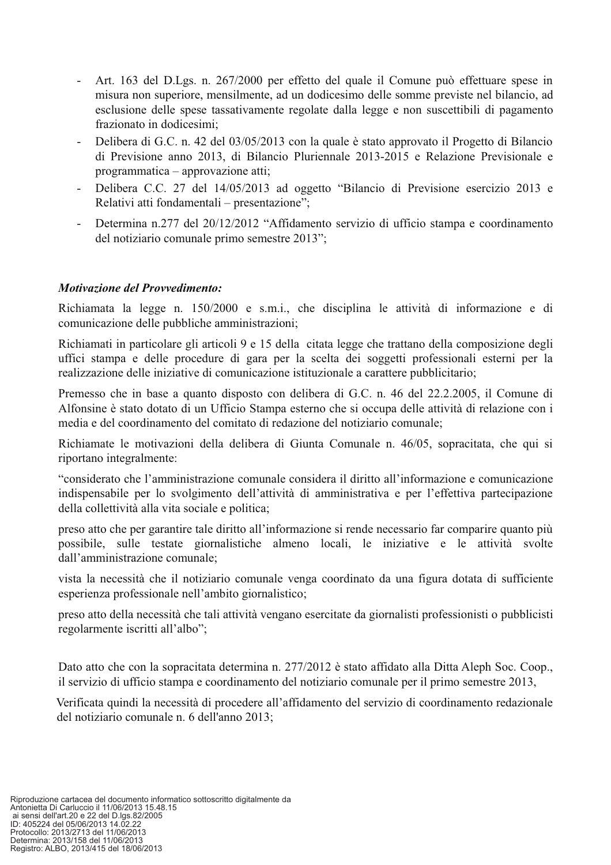- Art. 163 del D.Lgs. n. 267/2000 per effetto del quale il Comune può effettuare spese in misura non superiore, mensilmente, ad un dodicesimo delle somme previste nel bilancio, ad esclusione delle spese tassativamente regolate dalla legge e non suscettibili di pagamento frazionato in dodicesimi;
- Delibera di G.C. n. 42 del 03/05/2013 con la quale è stato approvato il Progetto di Bilancio  $\omega$  . di Previsione anno 2013, di Bilancio Pluriennale 2013-2015 e Relazione Previsionale e programmatica – approvazione atti;
- Delibera C.C. 27 del 14/05/2013 ad oggetto "Bilancio di Previsione esercizio 2013 e  $\omega_{\rm{eff}}$ Relativi atti fondamentali – presentazione";
- Determina n.277 del 20/12/2012 "Affidamento servizio di ufficio stampa e coordinamento  $\omega_{\rm{max}}$ del notiziario comunale primo semestre 2013";

#### **Motivazione del Provvedimento:**

Richiamata la legge n. 150/2000 e s.m.i., che disciplina le attività di informazione e di comunicazione delle pubbliche amministrazioni;

Richiamati in particolare gli articoli 9 e 15 della citata legge che trattano della composizione degli uffici stampa e delle procedure di gara per la scelta dei soggetti professionali esterni per la realizzazione delle iniziative di comunicazione istituzionale a carattere pubblicitario;

Premesso che in base a quanto disposto con delibera di G.C. n. 46 del 22.2.2005, il Comune di Alfonsine è stato dotato di un Ufficio Stampa esterno che si occupa delle attività di relazione con i media e del coordinamento del comitato di redazione del notiziario comunale;

Richiamate le motivazioni della delibera di Giunta Comunale n. 46/05, sopracitata, che qui si riportano integralmente:

"considerato che l'amministrazione comunale considera il diritto all'informazione e comunicazione indispensabile per lo svolgimento dell'attività di amministrativa e per l'effettiva partecipazione della collettività alla vita sociale e politica;

preso atto che per garantire tale diritto all'informazione si rende necessario far comparire quanto più possibile, sulle testate giornalistiche almeno locali, le iniziative e le attività svolte dall'amministrazione comunale;

vista la necessità che il notiziario comunale venga coordinato da una figura dotata di sufficiente esperienza professionale nell'ambito giornalistico;

preso atto della necessità che tali attività vengano esercitate da giornalisti professionisti o pubblicisti regolarmente iscritti all'albo";

Dato atto che con la sopracitata determina n. 277/2012 è stato affidato alla Ditta Aleph Soc. Coop., il servizio di ufficio stampa e coordinamento del notiziario comunale per il primo semestre 2013.

Verificata quindi la necessità di procedere all'affidamento del servizio di coordinamento redazionale del notiziario comunale n. 6 dell'anno 2013;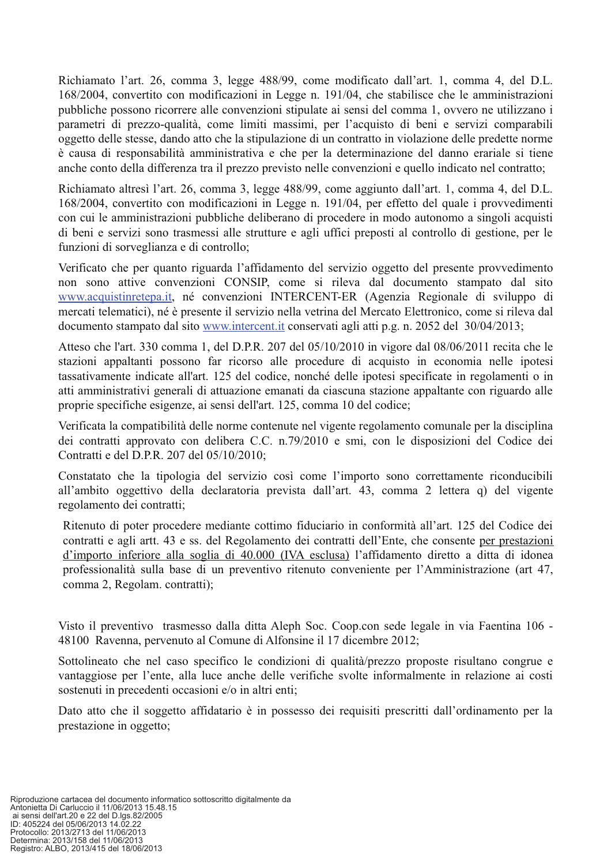Richiamato l'art. 26, comma 3, legge 488/99, come modificato dall'art. 1, comma 4, del D.L. 168/2004, convertito con modificazioni in Legge n. 191/04, che stabilisce che le amministrazioni pubbliche possono ricorrere alle convenzioni stipulate ai sensi del comma 1, ovvero ne utilizzano i parametri di prezzo-qualità, come limiti massimi, per l'acquisto di beni e servizi comparabili oggetto delle stesse, dando atto che la stipulazione di un contratto in violazione delle predette norme è causa di responsabilità amministrativa e che per la determinazione del danno erariale si tiene anche conto della differenza tra il prezzo previsto nelle convenzioni e quello indicato nel contratto:

Richiamato altresì l'art. 26, comma 3, legge 488/99, come aggiunto dall'art. 1, comma 4, del D.L. 168/2004, convertito con modificazioni in Legge n. 191/04, per effetto del quale i provvedimenti con cui le amministrazioni pubbliche deliberano di procedere in modo autonomo a singoli acquisti di beni e servizi sono trasmessi alle strutture e agli uffici preposti al controllo di gestione, per le funzioni di sorveglianza e di controllo;

Verificato che per quanto riguarda l'affidamento del servizio oggetto del presente provvedimento non sono attive convenzioni CONSIP, come si rileva dal documento stampato dal sito www.acquistinretepa.it, né convenzioni INTERCENT-ER (Agenzia Regionale di sviluppo di mercati telematici), né è presente il servizio nella vetrina del Mercato Elettronico, come si rileva dal documento stampato dal sito www.intercent.it conservati agli atti p.g. n. 2052 del 30/04/2013;

Atteso che l'art. 330 comma 1, del D.P.R. 207 del 05/10/2010 in vigore dal 08/06/2011 recita che le stazioni appaltanti possono far ricorso alle procedure di acquisto in economia nelle ipotesi tassativamente indicate all'art. 125 del codice, nonché delle ipotesi specificate in regolamenti o in atti amministrativi generali di attuazione emanati da ciascuna stazione appaltante con riguardo alle proprie specifiche esigenze, ai sensi dell'art. 125, comma 10 del codice;

Verificata la compatibilità delle norme contenute nel vigente regolamento comunale per la disciplina dei contratti approvato con delibera C.C. n.79/2010 e smi, con le disposizioni del Codice dei Contratti e del D.P.R. 207 del 05/10/2010;

Constatato che la tipologia del servizio così come l'importo sono correttamente riconducibili all'ambito oggettivo della declaratoria prevista dall'art. 43, comma 2 lettera q) del vigente regolamento dei contratti;

Ritenuto di poter procedere mediante cottimo fiduciario in conformità all'art. 125 del Codice dei contratti e agli artt. 43 e ss. del Regolamento dei contratti dell'Ente, che consente per prestazioni d'importo inferiore alla soglia di 40.000 (IVA esclusa) l'affidamento diretto a ditta di idonea professionalità sulla base di un preventivo ritenuto conveniente per l'Amministrazione (art 47, comma 2, Regolam. contratti);

Visto il preventivo trasmesso dalla ditta Aleph Soc. Coop.con sede legale in via Faentina 106 -48100 Ravenna, pervenuto al Comune di Alfonsine il 17 dicembre 2012;

Sottolineato che nel caso specifico le condizioni di qualità/prezzo proposte risultano congrue e vantaggiose per l'ente, alla luce anche delle verifiche svolte informalmente in relazione ai costi sostenuti in precedenti occasioni e/o in altri enti;

Dato atto che il soggetto affidatario è in possesso dei requisiti prescritti dall'ordinamento per la prestazione in oggetto;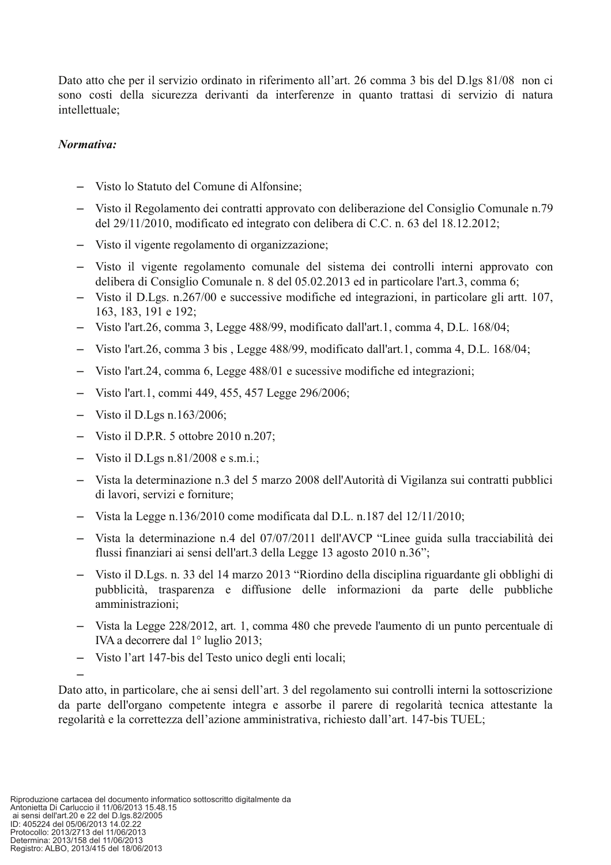Dato atto che per il servizio ordinato in riferimento all'art. 26 comma 3 bis del D.lgs 81/08 non ci sono costi della sicurezza derivanti da interferenze in quanto trattasi di servizio di natura intellettuale:

#### Normativa:

- Visto lo Statuto del Comune di Alfonsine;
- Visto il Regolamento dei contratti approvato con deliberazione del Consiglio Comunale n.79 del 29/11/2010, modificato ed integrato con delibera di C.C. n. 63 del 18.12.2012;
- Visto il vigente regolamento di organizzazione:
- Visto il vigente regolamento comunale del sistema dei controlli interni approvato con delibera di Consiglio Comunale n. 8 del 05.02.2013 ed in particolare l'art.3, comma 6;
- Visto il D.Lgs. n.267/00 e successive modifiche ed integrazioni, in particolare gli artt. 107, 163, 183, 191 e 192;
- Visto l'art.26, comma 3, Legge 488/99, modificato dall'art.1, comma 4, D.L. 168/04;
- Visto l'art.26, comma 3 bis, Legge 488/99, modificato dall'art.1, comma 4, D.L. 168/04;
- Visto l'art.24, comma 6, Legge 488/01 e sucessive modifiche ed integrazioni;
- Visto l'art.1, commi 449, 455, 457 Legge 296/2006;
- $-$  Visto il D.Lgs n.163/2006;
- $-$  Visto il D.P.R. 5 ottobre 2010 n.207;
- $-$  Visto il D.Lgs n.81/2008 e s.m.i.:
- Vista la determinazione n.3 del 5 marzo 2008 dell'Autorità di Vigilanza sui contratti pubblici di lavori, servizi e forniture;
- Vista la Legge n.136/2010 come modificata dal D.L. n.187 del  $12/11/2010$ ;
- Vista la determinazione n.4 del 07/07/2011 dell'AVCP "Linee guida sulla tracciabilità dei flussi finanziari ai sensi dell'art.3 della Legge 13 agosto 2010 n.36";
- Visto il D.Lgs. n. 33 del 14 marzo 2013 "Riordino della disciplina riguardante gli obblighi di pubblicità, trasparenza e diffusione delle informazioni da parte delle pubbliche amministrazioni:
- Vista la Legge 228/2012, art. 1, comma 480 che prevede l'aumento di un punto percentuale di IVA a decorrere dal 1º luglio 2013;
- Visto l'art 147-bis del Testo unico degli enti locali;

Dato atto, in particolare, che ai sensi dell'art. 3 del regolamento sui controlli interni la sottoscrizione da parte dell'organo competente integra e assorbe il parere di regolarità tecnica attestante la regolarità e la correttezza dell'azione amministrativa, richiesto dall'art. 147-bis TUEL;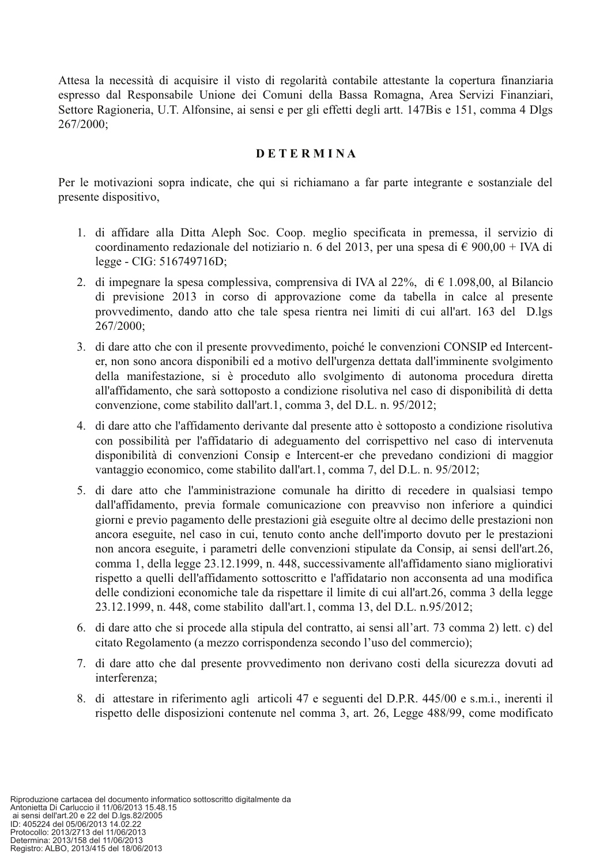Attesa la necessità di acquisire il visto di regolarità contabile attestante la copertura finanziaria espresso dal Responsabile Unione dei Comuni della Bassa Romagna, Area Servizi Finanziari, Settore Ragioneria, U.T. Alfonsine, ai sensi e per gli effetti degli artt. 147Bis e 151, comma 4 Dlgs 267/2000;

#### **DETERMINA**

Per le motivazioni sopra indicate, che qui si richiamano a far parte integrante e sostanziale del presente dispositivo,

- 1. di affidare alla Ditta Aleph Soc. Coop. meglio specificata in premessa, il servizio di coordinamento redazionale del notiziario n. 6 del 2013, per una spesa di  $\epsilon$  900,00 + IVA di legge - CIG: 516749716D;
- 2. di impegnare la spesa complessiva, comprensiva di IVA al 22%, di  $\epsilon$  1.098,00, al Bilancio di previsione 2013 in corso di approvazione come da tabella in calce al presente provvedimento, dando atto che tale spesa rientra nei limiti di cui all'art. 163 del D.lgs 267/2000;
- 3. di dare atto che con il presente provvedimento, poiché le convenzioni CONSIP ed Intercenter, non sono ancora disponibili ed a motivo dell'urgenza dettata dall'imminente svolgimento della manifestazione, si è proceduto allo svolgimento di autonoma procedura diretta all'affidamento, che sarà sottoposto a condizione risolutiva nel caso di disponibilità di detta convenzione, come stabilito dall'art.1, comma 3, del D.L. n. 95/2012;
- 4. di dare atto che l'affidamento derivante dal presente atto è sottoposto a condizione risolutiva con possibilità per l'affidatario di adeguamento del corrispettivo nel caso di intervenuta disponibilità di convenzioni Consip e Intercent-er che prevedano condizioni di maggior vantaggio economico, come stabilito dall'art.1, comma 7, del D.L. n. 95/2012;
- 5. di dare atto che l'amministrazione comunale ha diritto di recedere in qualsiasi tempo dall'affidamento, previa formale comunicazione con preavviso non inferiore a quindici giorni e previo pagamento delle prestazioni già eseguite oltre al decimo delle prestazioni non ancora eseguite, nel caso in cui, tenuto conto anche dell'importo dovuto per le prestazioni non ancora eseguite, i parametri delle convenzioni stipulate da Consip, ai sensi dell'art.26, comma 1, della legge 23.12.1999, n. 448, successivamente all'affidamento siano migliorativi rispetto a quelli dell'affidamento sottoscritto e l'affidatario non acconsenta ad una modifica delle condizioni economiche tale da rispettare il limite di cui all'art.26, comma 3 della legge 23.12.1999, n. 448, come stabilito dall'art.1, comma 13, del D.L. n.95/2012;
- 6. di dare atto che si procede alla stipula del contratto, ai sensi all'art. 73 comma 2) lett. c) del citato Regolamento (a mezzo corrispondenza secondo l'uso del commercio);
- 7. di dare atto che dal presente provvedimento non derivano costi della sicurezza dovuti ad interferenza:
- 8. di attestare in riferimento agli articoli 47 e seguenti del D.P.R. 445/00 e s.m.i., inerenti il rispetto delle disposizioni contenute nel comma 3, art. 26, Legge 488/99, come modificato